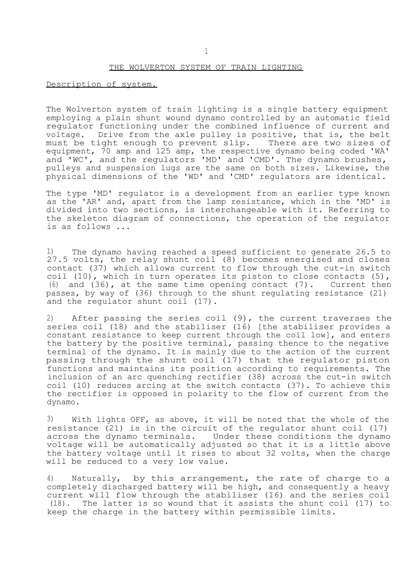## THE WOLVERTON SYSTEM OF TRAIN LIGHTING

## Description of system.

The Wolverton system of train lighting is a single battery equipment employing a plain shunt wound dynamo controlled by an automatic field regulator functioning under the combined influence of current and voltage. Drive from the axle pulley is positive, that is, the belt<br>must be tight enough to prevent slip. There are two sizes of must be tight enough to prevent slip. equipment, 70 amp and 125 amp, the respective dynamo being coded 'WA' and 'WC', and the regulators 'MD' and 'CMD'. The dynamo brushes, pulleys and suspension lugs are the same on both sizes. Likewise, the physical dimensions of the 'WD' and 'CMD' regulators are identical.

The type 'MD' regulator is a development from an earlier type known as the 'AR' and, apart from the lamp resistance, which in the 'MD' is divided into two sections, is interchangeable with it. Referring to the skeleton diagram of connections, the operation of the regulator is as follows ...

1) The dynamo having reached a speed sufficient to generate 26.5 to 27.5 volts, the relay shunt coil (8) becomes energised and closes contact (37) which allows current to flow through the cut-in switch coil (10), which in turn operates its piston to close contacts (5), (6) and (36), at the same time opening contact (7). Current then passes, by way of (36) through to the shunt regulating resistance (21) and the regulator shunt coil (17).

2) After passing the series coil (9), the current traverses the series coil (18) and the stabiliser (16) [the stabiliser provides a constant resistance to keep current through the coil low], and enters the battery by the positive terminal, passing thence to the negative terminal of the dynamo. It is mainly due to the action of the current passing through the shunt coil (17) that the regulator piston functions and maintains its position according to requirements. The inclusion of an arc quenching rectifier (38) across the cut-in switch coil (10) reduces arcing at the switch contacts (37). To achieve this the rectifier is opposed in polarity to the flow of current from the dynamo.

3) With lights OFF, as above, it will be noted that the whole of the resistance (21) is in the circuit of the regulator shunt coil (17) across the dynamo terminals. Under these conditions the dynamo voltage will be automatically adjusted so that it is a little above the battery voltage until it rises to about 32 volts, when the charge will be reduced to a very low value.

4) Naturally, by this arrangement, the rate of charge to a completely discharged battery will be high, and consequently a heavy current will flow through the stabiliser (16) and the series coil (18). The latter is so wound that it assists the shunt coil (17) to keep the charge in the battery within permissible limits.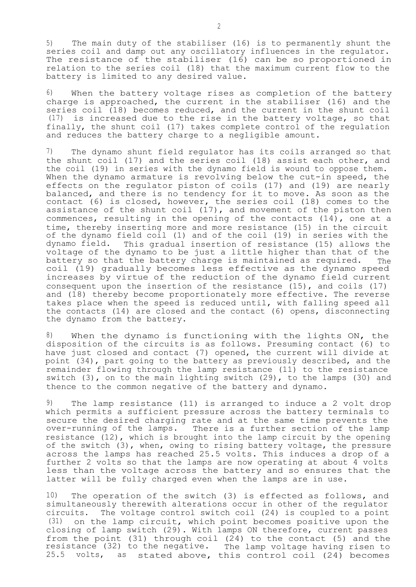5) The main duty of the stabiliser (16) is to permanently shunt the series coil and damp out any oscillatory influences in the regulator. The resistance of the stabiliser (16) can be so proportioned in relation to the series coil (18) that the maximum current flow to the battery is limited to any desired value.

6) When the battery voltage rises as completion of the battery charge is approached, the current in the stabiliser (16) and the series coil (18) becomes reduced, and the current in the shunt coil (17) is increased due to the rise in the battery voltage, so that finally, the shunt coil (17) takes complete control of the regulation and reduces the battery charge to a negligible amount.

7) The dynamo shunt field regulator has its coils arranged so that the shunt coil (17) and the series coil (18) assist each other, and the coil (19) in series with the dynamo field is wound to oppose them. When the dynamo armature is revolving below the cut-in speed, the effects on the regulator piston of coils (17) and (19) are nearly balanced, and there is no tendency for it to move. As soon as the contact (6) is closed, however, the series coil (18) comes to the assistance of the shunt coil (17), and movement of the piston then commences, resulting in the opening of the contacts  $(14)$ , one at a time, thereby inserting more and more resistance (15) in the circuit of the dynamo field coil (1) and of the coil (19) in series with the dynamo field. This gradual insertion of resistance (15) allows the voltage of the dynamo to be just a little higher than that of the battery so that the battery charge is maintained as required. The coil (19) gradually becomes less effective as the dynamo speed increases by virtue of the reduction of the dynamo field current consequent upon the insertion of the resistance (15), and coils (17) and (18) thereby become proportionately more effective. The reverse takes place when the speed is reduced until, with falling speed all the contacts (14) are closed and the contact (6) opens, disconnecting the dynamo from the battery.

8) When the dynamo is functioning with the lights ON, the disposition of the circuits is as follows. Presuming contact (6) to have just closed and contact (7) opened, the current will divide at point (34), part going to the battery as previously described, and the remainder flowing through the lamp resistance (11) to the resistance switch (3), on to the main lighting switch (29), to the lamps (30) and thence to the common negative of the battery and dynamo.

9) The lamp resistance (11) is arranged to induce a 2 volt drop which permits a sufficient pressure across the battery terminals to secure the desired charging rate and at the same time prevents the over-running of the lamps. There is a further section of the lamp resistance (12), which is brought into the lamp circuit by the opening of the switch (3), when, owing to rising battery voltage, the pressure across the lamps has reached 25.5 volts. This induces a drop of a further 2 volts so that the lamps are now operating at about 4 volts less than the voltage across the battery and so ensures that the latter will be fully charged even when the lamps are in use.

10) The operation of the switch (3) is effected as follows, and simultaneously therewith alterations occur in other of the regulator circuits. The voltage control switch coil (24) is coupled to a point (31) on the lamp circuit, which point becomes positive upon the closing of lamp switch (29). With lamps ON therefore, current passes from the point (31) through coil (24) to the contact (5) and the resistance (32) to the negative. The lamp voltage having risen to 25.5 volts, as stated above, this control coil (24) becomes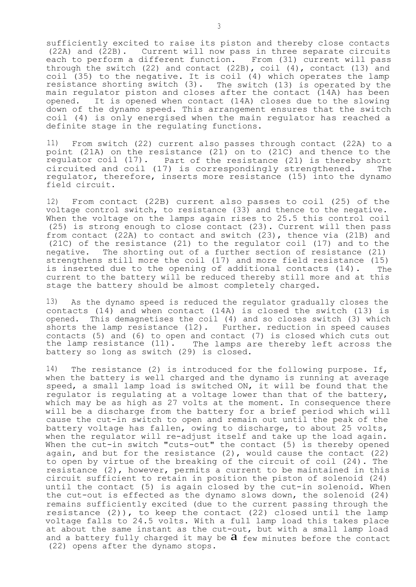sufficiently excited to raise its piston and thereby close contacts (22A) and (22B). Current will now pass in three separate circuits each to perform a different function. From (31) current will pass through the switch  $(22)$  and contact  $(22B)$ , coil  $(4)$ , contact  $(13)$  and coil (35) to the negative. It is coil (4) which operates the lamp resistance shorting switch (3). The switch (13) is operated by the main regulator piston and closes after the contact (14A) has been opened. It is opened when contact (14A) closes due to the slowing down of the dynamo speed. This arrangement ensures that the switch coil (4) is only energised when the main regulator has reached a definite stage in the regulating functions.

11) From switch (22) current also passes through contact (22A) to a point (21A) on the resistance (21) on to (21C) and thence to the regulator coil (17). Part of the resistance (21) is thereby short circuited and coil (17) is correspondingly strengthened. The regulator, therefore, inserts more resistance (15) into the dynamo field circuit.

12) From contact (22B) current also passes to coil (25) of the voltage control switch, to resistance (33) and thence to the negative. When the voltage on the lamps again rises to 25.5 this control coil (25) is strong enough to close contact (23). Current will then pass from contact (22A) to contact and switch (23), thence via (21B) and (21C) of the resistance (21) to the regulator coil (17) and to the negative. The shorting out of a further section of resistance (21) strengthens still more the coil (17) and more field resistance (15) is inserted due to the opening of additional contacts (14). The current to the battery will be reduced thereby still more and at this stage the battery should be almost completely charged.

13) As the dynamo speed is reduced the regulator gradually closes the contacts (14) and when contact (14A) is closed the switch (13) is opened. This demagnetises the coil (4) and so closes switch (3) which shorts the lamp resistance (12). Further. reduction in speed causes contacts (5) and (6) to open and contact (7) is closed which cuts out the lamp resistance (11). The lamps are thereby left across the battery so long as switch (29) is closed.

14) The resistance (2) is introduced for the following purpose. If, when the battery is well charged and the dynamo is running at average speed, a small lamp load is switched ON, it will be found that the regulator is regulating at a voltage lower than that of the battery, which may be as high as 27 volts at the moment. In consequence there will be a discharge from the battery for a brief period which will cause the cut-in switch to open and remain out until the peak of the battery voltage has fallen, owing to discharge, to about 25 volts, when the regulator will re-adjust itself and take up the load again. When the cut-in switch "cuts-out" the contact (5) is thereby opened again, and but for the resistance  $(2)$ , would cause the contact  $(22)$ to open by virtue of the breaking of the circuit of coil (24). The resistance (2), however, permits a current to be maintained in this circuit sufficient to retain in position the piston of solenoid (24) until the contact (5) is again closed by the cut-in solenoid. When the cut-out is effected as the dynamo slows down, the solenoid (24) remains sufficiently excited (due to the current passing through the resistance (2)), to keep the contact (22) closed until the lamp voltage falls to 24.5 volts. With a full lamp load this takes place at about the same instant as the cut-out, but with a small lamp load and a battery fully charged it may be  $a$  few minutes before the contact (22) opens after the dynamo stops.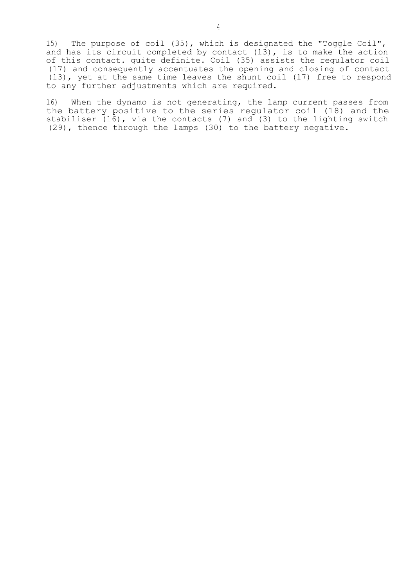15) The purpose of coil (35), which is designated the "Toggle Coil", and has its circuit completed by contact  $(13)$ , is to make the action of this contact. quite definite. Coil (35) assists the regulator coil (17) and consequently accentuates the opening and closing of contact (13), yet at the same time leaves the shunt coil (17) free to respond to any further adjustments which are required.

16) When the dynamo is not generating, the lamp current passes from the battery positive to the series regulator coil (18) and the stabiliser (16), via the contacts (7) and (3) to the lighting switch (29), thence through the lamps (30) to the battery negative.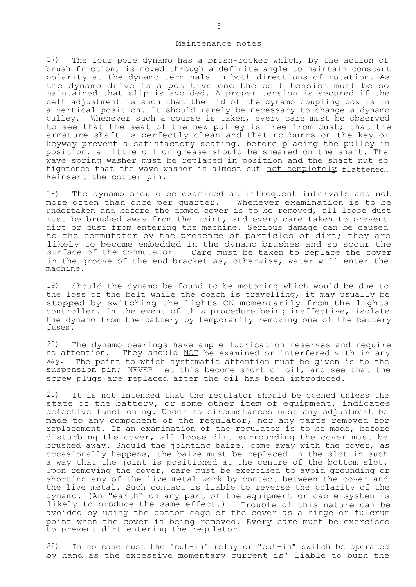## Maintenance notes

17) The four pole dynamo has a brush-rocker which, by the action of brush friction, is moved through a definite angle to maintain constant polarity at the dynamo terminals in both directions of rotation. As the dynamo drive is a positive one the belt tension must be so maintained that slip is avoided. A proper tension is secured if the belt adjustment is such that the lid of the dynamo coupling box is in a vertical position. It should rarely be necessary to change a dynamo pulley. Whenever such a course is taken, every care must be observed to see that the seat of the new pulley is free from dust; that the armature shaft is perfectly clean and that no burrs on the key or keyway prevent a satisfactory seating. before placing the pulley in position, a little oil or grease should be smeared on the shaft. The wave spring washer must be replaced in position and the shaft nut so tightened that the wave washer is almost but not completely flattened. Reinsert the cotter pin.

18) The dynamo should be examined at infrequent intervals and not more often than once per quarter. Whenever examination is to be undertaken and before the domed cover is to be removed, all loose dust must be brushed away from the joint, and every care taken to prevent dirt or dust from entering the machine. Serious damage can be caused to the commutator by the presence of particles of dirt; they are likely to become embedded in the dynamo brushes and so scour the surface of the commutator. Care must be taken to replace the cover in the groove of the end bracket as, otherwise, water will enter the machine.

19) Should the dynamo be found to be motoring which would be due to the loss of the belt while the coach is travelling, it may usually be stopped by switching the lights ON momentarily from the lights controller. In the event of this procedure being ineffective, isolate the dynamo from the battery by temporarily removing one of the battery fuses.

20) The dynamo bearings have ample lubrication reserves and require no attention. They should NOT be examined or interfered with in any way. The point to which systematic attention must be given is to the suspension pin; NEVER let this become short of oil, and see that the screw plugs are replaced after the oil has been introduced.

21) It is not intended that the regulator should be opened unless the state of the battery, or some other item of equipment, indicates defective functioning. Under no circumstances must any adjustment be made to any component of the regulator, nor any parts removed for replacement. If an examination of the regulator is to be made, before disturbing the cover, all loose dirt surrounding the cover must be brushed away. Should the jointing baize. come away with the cover, as occasionally happens, the baize must be replaced in the slot in such a way that the joint is positioned at the centre of the bottom slot. Upon removing the cover, care must be exercised to avoid grounding or shorting any of the live metal work by contact between the cover and the live metal. Such contact is liable to reverse the polarity of the dynamo. (An "earth" on any part of the equipment or cable system is likely to produce the same effect.) Trouble of this nature can be avoided by using the bottom edge of the cover as a hinge or fulcrum point when the cover is being removed. Every care must be exercised to prevent dirt entering the regulator.

22) In no case must the "cut-in" relay or "cut-in" switch be operated by hand as the excessive momentary current is' liable to burn the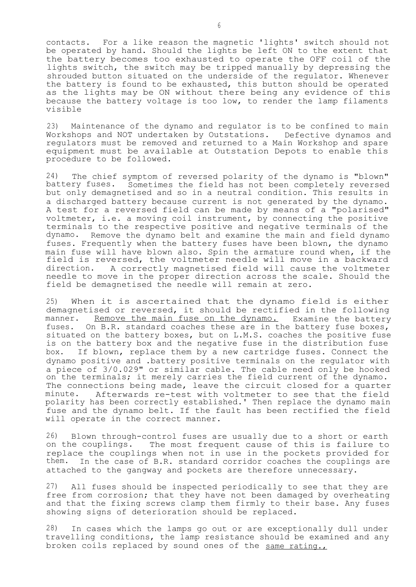contacts. For a like reason the magnetic 'lights' switch should not be operated by hand. Should the lights be left ON to the extent that the battery becomes too exhausted to operate the OFF coil of the lights switch, the switch may be tripped manually by depressing the shrouded button situated on the underside of the regulator. Whenever the battery is found to be exhausted, this button should be operated as the lights may be ON without there being any evidence of this because the battery voltage is too low, to render the lamp filaments visible

23) Maintenance of the dynamo and regulator is to be confined to main Workshops and NOT undertaken by Outstations. Defective dynamos and regulators must be removed and returned to a Main Workshop and spare equipment must be available at Outstation Depots to enable this procedure to be followed.

24) The chief symptom of reversed polarity of the dynamo is "blown" battery fuses. Sometimes the field has not been completely reversed but only demagnetised and so in a neutral condition. This results in a discharged battery because current is not generated by the dynamo. A test for a reversed field can be made by means of a "polarised" voltmeter, i.e. a moving coil instrument, by connecting the positive terminals to the respective positive and negative terminals of the dynamo. Remove the dynamo belt and examine the main and field dynamo fuses. Frequently when the battery fuses have been blown, the dynamo main fuse will have blown also. Spin the armature round when, if the field is reversed, the voltmeter needle will move in a backward direction. A correctly magnetised field will cause the voltmeter needle to move in the proper direction across the scale. Should the field be demagnetised the needle will remain at zero.

25) When it is ascertained that the dynamo field is either demagnetised or reversed, it should be rectified in the following manner. Remove the main fuse on the dynamo. Examine the battery fuses. On B.R. standard coaches these are in the battery fuse boxes, situated on the battery boxes, but on L.M.S. coaches the positive fuse is on the battery box and the negative fuse in the distribution fuse box. If blown, replace them by a new cartridge fuses. Connect the dynamo positive and .battery positive terminals on the regulator with a piece of 3/0.029" or similar cable. The cable need only be hooked on the terminals; it merely carries the field current of the dynamo. The connections being made, leave the circuit closed for a quarter minute. Afterwards re-test with voltmeter to see that the field polarity has been correctly established.' Then replace the dynamo main fuse and the dynamo belt. If the fault has been rectified the field will operate in the correct manner.

26) Blown through-control fuses are usually due to a short or earth on the couplings. The most frequent cause of this is failure to replace the couplings when not in use in the pockets provided for them. In the case of B.R. standard corridor coaches the couplings are attached to the gangway and pockets are therefore unnecessary.

27) All fuses should be inspected periodically to see that they are free from corrosion; that they have not been damaged by overheating and that the fixing screws clamp them firmly to their base. Any fuses showing signs of deterioration should be replaced.

28) In cases which the lamps go out or are exceptionally dull under travelling conditions, the lamp resistance should be examined and any broken coils replaced by sound ones of the same rating.,